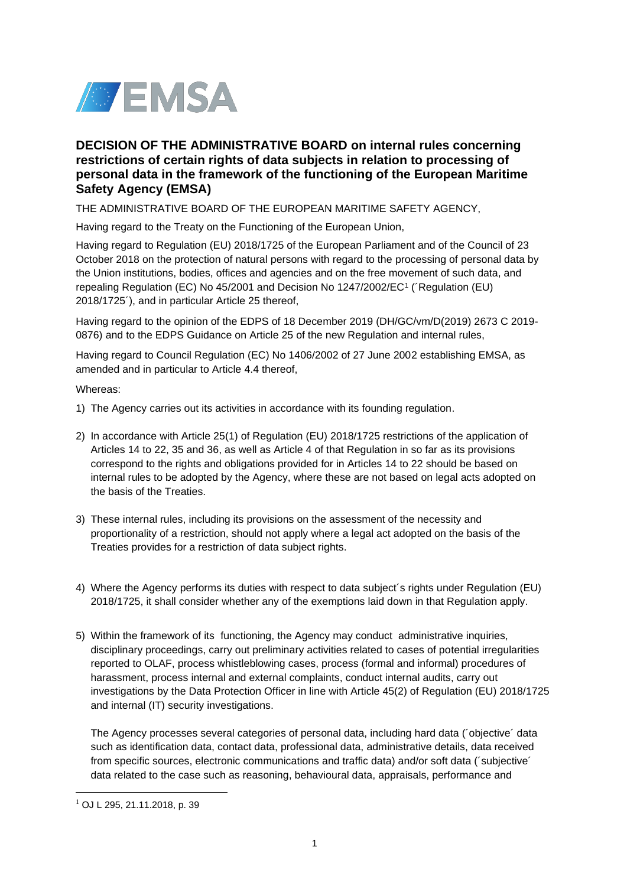

# **DECISION OF THE ADMINISTRATIVE BOARD on internal rules concerning restrictions of certain rights of data subjects in relation to processing of personal data in the framework of the functioning of the European Maritime Safety Agency (EMSA)**

THE ADMINISTRATIVE BOARD OF THE EUROPEAN MARITIME SAFETY AGENCY,

Having regard to the Treaty on the Functioning of the European Union,

Having regard to Regulation (EU) 2018/1725 of the European Parliament and of the Council of 23 October 2018 on the protection of natural persons with regard to the processing of personal data by the Union institutions, bodies, offices and agencies and on the free movement of such data, and repealing Regulation (EC) No 45/2001 and Decision No 1247/2002/EC<sup>1</sup> (´Regulation (EU) 2018/1725´), and in particular Article 25 thereof,

Having regard to the opinion of the EDPS of 18 December 2019 (DH/GC/vm/D(2019) 2673 C 2019- 0876) and to the EDPS Guidance on Article 25 of the new Regulation and internal rules,

Having regard to Council Regulation (EC) No 1406/2002 of 27 June 2002 establishing EMSA, as amended and in particular to Article 4.4 thereof,

Whereas:

- 1) The Agency carries out its activities in accordance with its founding regulation.
- 2) In accordance with Article 25(1) of Regulation (EU) 2018/1725 restrictions of the application of Articles 14 to 22, 35 and 36, as well as Article 4 of that Regulation in so far as its provisions correspond to the rights and obligations provided for in Articles 14 to 22 should be based on internal rules to be adopted by the Agency, where these are not based on legal acts adopted on the basis of the Treaties.
- 3) These internal rules, including its provisions on the assessment of the necessity and proportionality of a restriction, should not apply where a legal act adopted on the basis of the Treaties provides for a restriction of data subject rights.
- 4) Where the Agency performs its duties with respect to data subject´s rights under Regulation (EU) 2018/1725, it shall consider whether any of the exemptions laid down in that Regulation apply.
- 5) Within the framework of its functioning, the Agency may conduct administrative inquiries, disciplinary proceedings, carry out preliminary activities related to cases of potential irregularities reported to OLAF, process whistleblowing cases, process (formal and informal) procedures of harassment, process internal and external complaints, conduct internal audits, carry out investigations by the Data Protection Officer in line with Article 45(2) of Regulation (EU) 2018/1725 and internal (IT) security investigations.

The Agency processes several categories of personal data, including hard data (´objective´ data such as identification data, contact data, professional data, administrative details, data received from specific sources, electronic communications and traffic data) and/or soft data (´subjective´ data related to the case such as reasoning, behavioural data, appraisals, performance and

 $1$  OJ L 295, 21.11.2018, p. 39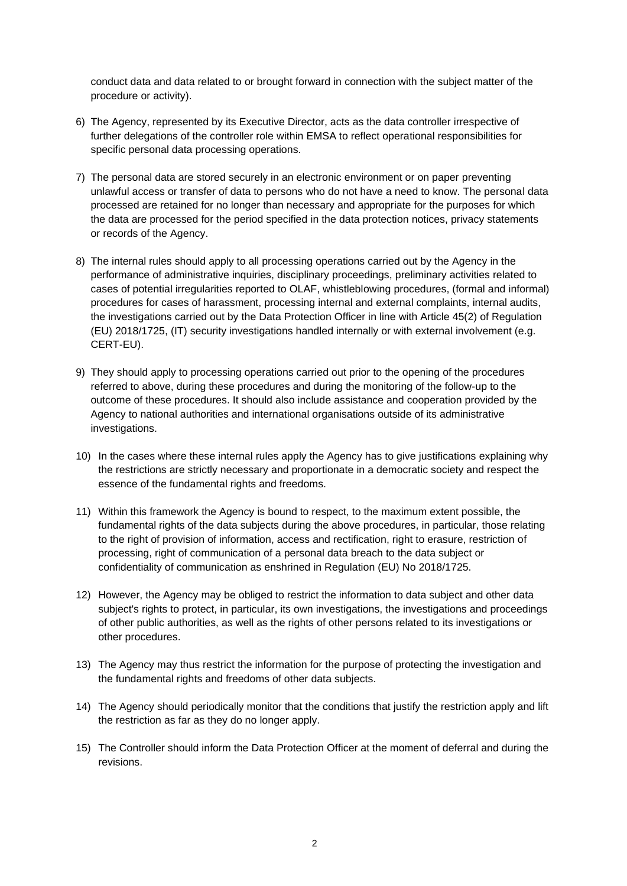conduct data and data related to or brought forward in connection with the subject matter of the procedure or activity).

- 6) The Agency, represented by its Executive Director, acts as the data controller irrespective of further delegations of the controller role within EMSA to reflect operational responsibilities for specific personal data processing operations.
- 7) The personal data are stored securely in an electronic environment or on paper preventing unlawful access or transfer of data to persons who do not have a need to know. The personal data processed are retained for no longer than necessary and appropriate for the purposes for which the data are processed for the period specified in the data protection notices, privacy statements or records of the Agency.
- 8) The internal rules should apply to all processing operations carried out by the Agency in the performance of administrative inquiries, disciplinary proceedings, preliminary activities related to cases of potential irregularities reported to OLAF, whistleblowing procedures, (formal and informal) procedures for cases of harassment, processing internal and external complaints, internal audits, the investigations carried out by the Data Protection Officer in line with Article 45(2) of Regulation (EU) 2018/1725, (IT) security investigations handled internally or with external involvement (e.g. CERT-EU).
- 9) They should apply to processing operations carried out prior to the opening of the procedures referred to above, during these procedures and during the monitoring of the follow-up to the outcome of these procedures. It should also include assistance and cooperation provided by the Agency to national authorities and international organisations outside of its administrative investigations.
- 10) In the cases where these internal rules apply the Agency has to give justifications explaining why the restrictions are strictly necessary and proportionate in a democratic society and respect the essence of the fundamental rights and freedoms.
- 11) Within this framework the Agency is bound to respect, to the maximum extent possible, the fundamental rights of the data subjects during the above procedures, in particular, those relating to the right of provision of information, access and rectification, right to erasure, restriction of processing, right of communication of a personal data breach to the data subject or confidentiality of communication as enshrined in Regulation (EU) No 2018/1725.
- 12) However, the Agency may be obliged to restrict the information to data subject and other data subject's rights to protect, in particular, its own investigations, the investigations and proceedings of other public authorities, as well as the rights of other persons related to its investigations or other procedures.
- 13) The Agency may thus restrict the information for the purpose of protecting the investigation and the fundamental rights and freedoms of other data subjects.
- 14) The Agency should periodically monitor that the conditions that justify the restriction apply and lift the restriction as far as they do no longer apply.
- 15) The Controller should inform the Data Protection Officer at the moment of deferral and during the revisions.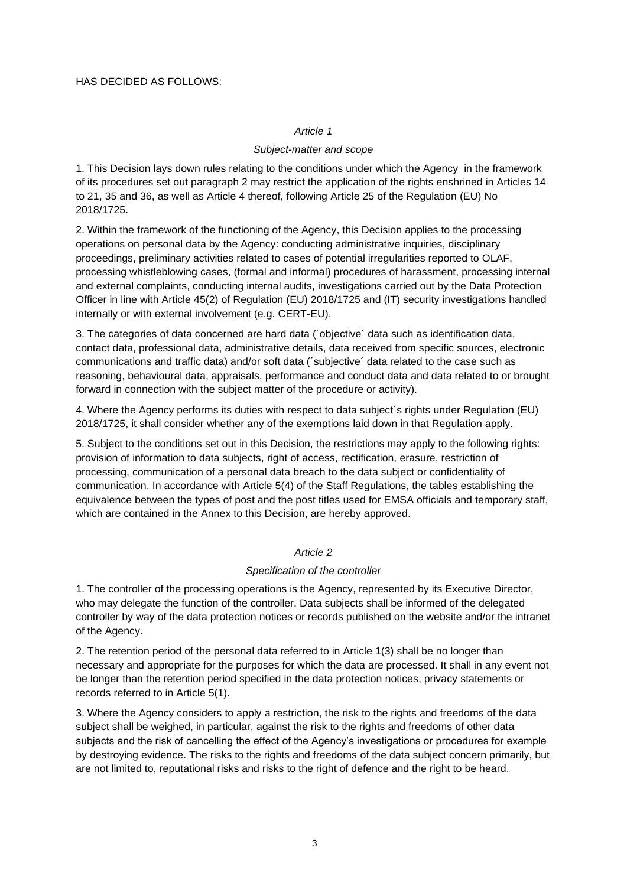#### HAS DECIDED AS FOLLOWS:

#### *Article 1*

#### *Subject-matter and scope*

1. This Decision lays down rules relating to the conditions under which the Agency in the framework of its procedures set out paragraph 2 may restrict the application of the rights enshrined in Articles 14 to 21, 35 and 36, as well as Article 4 thereof, following Article 25 of the Regulation (EU) No 2018/1725.

2. Within the framework of the functioning of the Agency, this Decision applies to the processing operations on personal data by the Agency: conducting administrative inquiries, disciplinary proceedings, preliminary activities related to cases of potential irregularities reported to OLAF, processing whistleblowing cases, (formal and informal) procedures of harassment, processing internal and external complaints, conducting internal audits, investigations carried out by the Data Protection Officer in line with Article 45(2) of Regulation (EU) 2018/1725 and (IT) security investigations handled internally or with external involvement (e.g. CERT-EU).

3. The categories of data concerned are hard data (´objective´ data such as identification data, contact data, professional data, administrative details, data received from specific sources, electronic communications and traffic data) and/or soft data (´subjective´ data related to the case such as reasoning, behavioural data, appraisals, performance and conduct data and data related to or brought forward in connection with the subject matter of the procedure or activity).

4. Where the Agency performs its duties with respect to data subject´s rights under Regulation (EU) 2018/1725, it shall consider whether any of the exemptions laid down in that Regulation apply.

5. Subject to the conditions set out in this Decision, the restrictions may apply to the following rights: provision of information to data subjects, right of access, rectification, erasure, restriction of processing, communication of a personal data breach to the data subject or confidentiality of communication. In accordance with Article 5(4) of the Staff Regulations, the tables establishing the equivalence between the types of post and the post titles used for EMSA officials and temporary staff, which are contained in the Annex to this Decision, are hereby approved.

# *Article 2*

#### *Specification of the controller*

1. The controller of the processing operations is the Agency, represented by its Executive Director, who may delegate the function of the controller. Data subjects shall be informed of the delegated controller by way of the data protection notices or records published on the website and/or the intranet of the Agency.

2. The retention period of the personal data referred to in Article 1(3) shall be no longer than necessary and appropriate for the purposes for which the data are processed. It shall in any event not be longer than the retention period specified in the data protection notices, privacy statements or records referred to in Article 5(1).

3. Where the Agency considers to apply a restriction, the risk to the rights and freedoms of the data subject shall be weighed, in particular, against the risk to the rights and freedoms of other data subjects and the risk of cancelling the effect of the Agency's investigations or procedures for example by destroying evidence. The risks to the rights and freedoms of the data subject concern primarily, but are not limited to, reputational risks and risks to the right of defence and the right to be heard.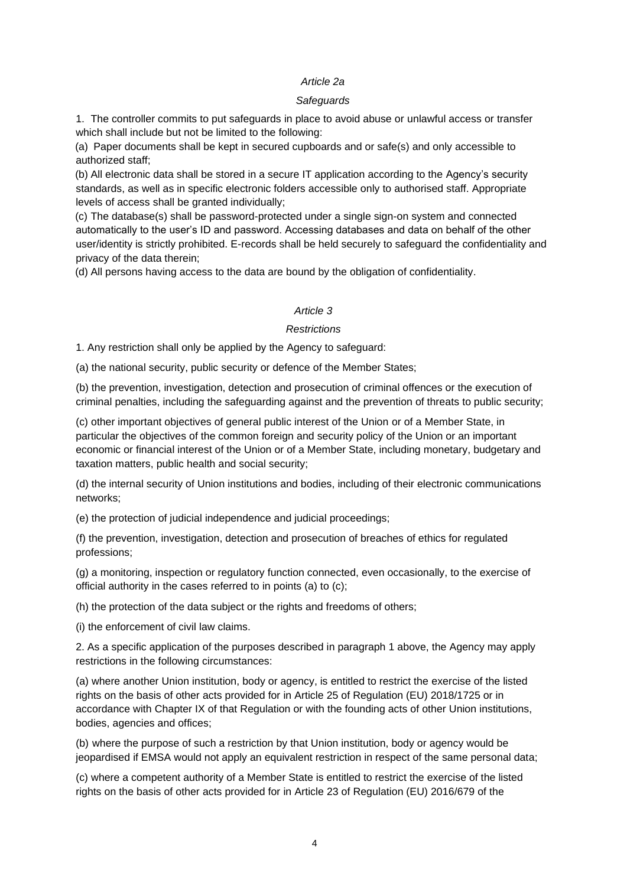#### *Article 2a*

#### *Safeguards*

1. The controller commits to put safeguards in place to avoid abuse or unlawful access or transfer which shall include but not be limited to the following:

(a) Paper documents shall be kept in secured cupboards and or safe(s) and only accessible to authorized staff;

(b) All electronic data shall be stored in a secure IT application according to the Agency's security standards, as well as in specific electronic folders accessible only to authorised staff. Appropriate levels of access shall be granted individually;

(c) The database(s) shall be password-protected under a single sign-on system and connected automatically to the user's ID and password. Accessing databases and data on behalf of the other user/identity is strictly prohibited. E-records shall be held securely to safeguard the confidentiality and privacy of the data therein;

(d) All persons having access to the data are bound by the obligation of confidentiality.

# *Article 3*

# *Restrictions*

1. Any restriction shall only be applied by the Agency to safeguard:

(a) the national security, public security or defence of the Member States;

(b) the prevention, investigation, detection and prosecution of criminal offences or the execution of criminal penalties, including the safeguarding against and the prevention of threats to public security;

(c) other important objectives of general public interest of the Union or of a Member State, in particular the objectives of the common foreign and security policy of the Union or an important economic or financial interest of the Union or of a Member State, including monetary, budgetary and taxation matters, public health and social security;

(d) the internal security of Union institutions and bodies, including of their electronic communications networks;

(e) the protection of judicial independence and judicial proceedings;

(f) the prevention, investigation, detection and prosecution of breaches of ethics for regulated professions;

(g) a monitoring, inspection or regulatory function connected, even occasionally, to the exercise of official authority in the cases referred to in points (a) to (c);

(h) the protection of the data subject or the rights and freedoms of others;

(i) the enforcement of civil law claims.

2. As a specific application of the purposes described in paragraph 1 above, the Agency may apply restrictions in the following circumstances:

(a) where another Union institution, body or agency, is entitled to restrict the exercise of the listed rights on the basis of other acts provided for in Article 25 of Regulation (EU) 2018/1725 or in accordance with Chapter IX of that Regulation or with the founding acts of other Union institutions, bodies, agencies and offices;

(b) where the purpose of such a restriction by that Union institution, body or agency would be jeopardised if EMSA would not apply an equivalent restriction in respect of the same personal data;

(c) where a competent authority of a Member State is entitled to restrict the exercise of the listed rights on the basis of other acts provided for in Article 23 of Regulation (EU) 2016/679 of the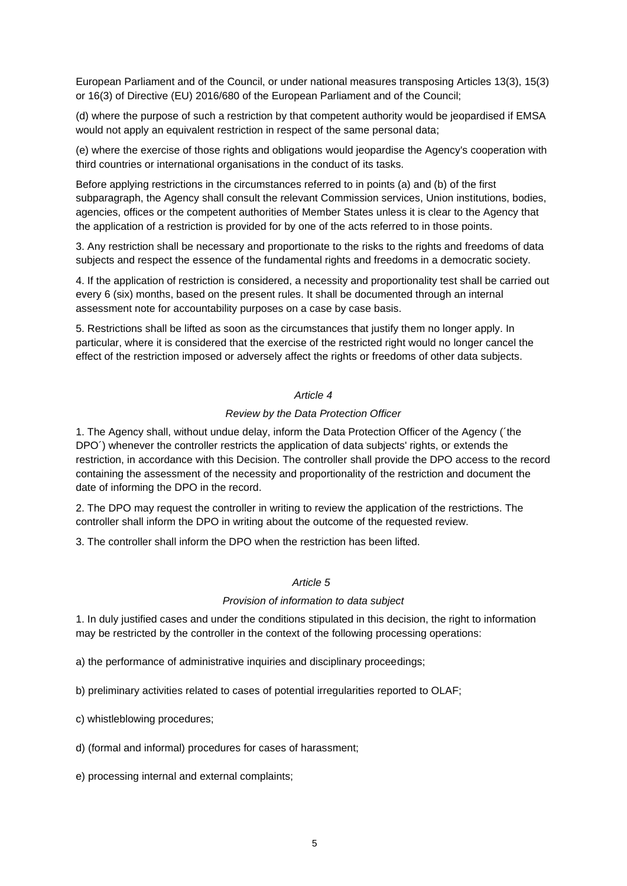European Parliament and of the Council, or under national measures transposing Articles 13(3), 15(3) or 16(3) of Directive (EU) 2016/680 of the European Parliament and of the Council;

(d) where the purpose of such a restriction by that competent authority would be jeopardised if EMSA would not apply an equivalent restriction in respect of the same personal data;

(e) where the exercise of those rights and obligations would jeopardise the Agency's cooperation with third countries or international organisations in the conduct of its tasks.

Before applying restrictions in the circumstances referred to in points (a) and (b) of the first subparagraph, the Agency shall consult the relevant Commission services, Union institutions, bodies, agencies, offices or the competent authorities of Member States unless it is clear to the Agency that the application of a restriction is provided for by one of the acts referred to in those points.

3. Any restriction shall be necessary and proportionate to the risks to the rights and freedoms of data subjects and respect the essence of the fundamental rights and freedoms in a democratic society.

4. If the application of restriction is considered, a necessity and proportionality test shall be carried out every 6 (six) months, based on the present rules. It shall be documented through an internal assessment note for accountability purposes on a case by case basis.

5. Restrictions shall be lifted as soon as the circumstances that justify them no longer apply. In particular, where it is considered that the exercise of the restricted right would no longer cancel the effect of the restriction imposed or adversely affect the rights or freedoms of other data subjects.

#### *Article 4*

#### *Review by the Data Protection Officer*

1. The Agency shall, without undue delay, inform the Data Protection Officer of the Agency (´the DPO´) whenever the controller restricts the application of data subjects' rights, or extends the restriction, in accordance with this Decision. The controller shall provide the DPO access to the record containing the assessment of the necessity and proportionality of the restriction and document the date of informing the DPO in the record.

2. The DPO may request the controller in writing to review the application of the restrictions. The controller shall inform the DPO in writing about the outcome of the requested review.

3. The controller shall inform the DPO when the restriction has been lifted.

#### *Article 5*

#### *Provision of information to data subject*

1. In duly justified cases and under the conditions stipulated in this decision, the right to information may be restricted by the controller in the context of the following processing operations:

a) the performance of administrative inquiries and disciplinary proceedings;

b) preliminary activities related to cases of potential irregularities reported to OLAF;

c) whistleblowing procedures;

d) (formal and informal) procedures for cases of harassment;

e) processing internal and external complaints;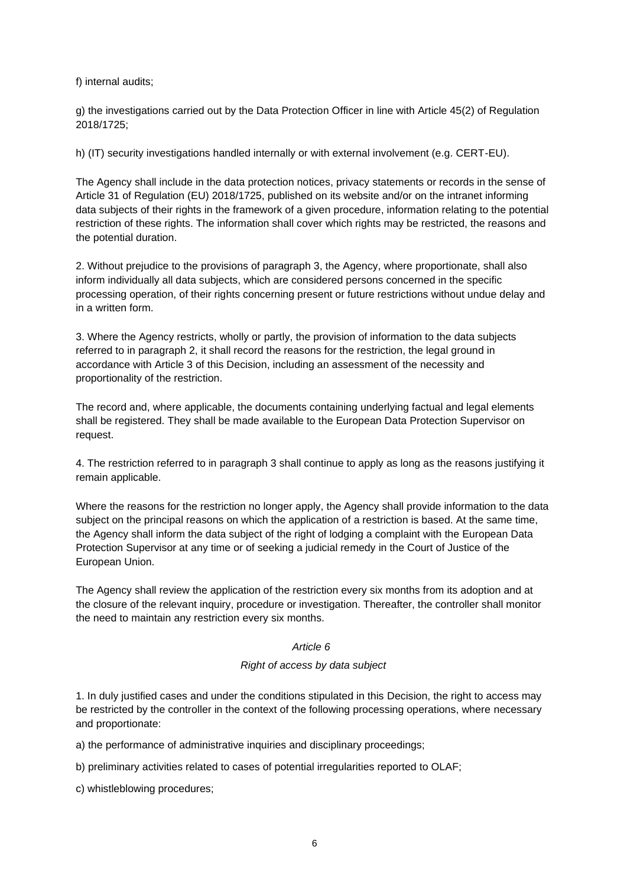f) internal audits;

g) the investigations carried out by the Data Protection Officer in line with Article 45(2) of Regulation 2018/1725;

h) (IT) security investigations handled internally or with external involvement (e.g. CERT-EU).

The Agency shall include in the data protection notices, privacy statements or records in the sense of Article 31 of Regulation (EU) 2018/1725, published on its website and/or on the intranet informing data subjects of their rights in the framework of a given procedure, information relating to the potential restriction of these rights. The information shall cover which rights may be restricted, the reasons and the potential duration.

2. Without prejudice to the provisions of paragraph 3, the Agency, where proportionate, shall also inform individually all data subjects, which are considered persons concerned in the specific processing operation, of their rights concerning present or future restrictions without undue delay and in a written form.

3. Where the Agency restricts, wholly or partly, the provision of information to the data subjects referred to in paragraph 2, it shall record the reasons for the restriction, the legal ground in accordance with Article 3 of this Decision, including an assessment of the necessity and proportionality of the restriction.

The record and, where applicable, the documents containing underlying factual and legal elements shall be registered. They shall be made available to the European Data Protection Supervisor on request.

4. The restriction referred to in paragraph 3 shall continue to apply as long as the reasons justifying it remain applicable.

Where the reasons for the restriction no longer apply, the Agency shall provide information to the data subject on the principal reasons on which the application of a restriction is based. At the same time, the Agency shall inform the data subject of the right of lodging a complaint with the European Data Protection Supervisor at any time or of seeking a judicial remedy in the Court of Justice of the European Union.

The Agency shall review the application of the restriction every six months from its adoption and at the closure of the relevant inquiry, procedure or investigation. Thereafter, the controller shall monitor the need to maintain any restriction every six months.

#### *Article 6*

# *Right of access by data subject*

1. In duly justified cases and under the conditions stipulated in this Decision, the right to access may be restricted by the controller in the context of the following processing operations, where necessary and proportionate:

a) the performance of administrative inquiries and disciplinary proceedings:

b) preliminary activities related to cases of potential irregularities reported to OLAF;

c) whistleblowing procedures;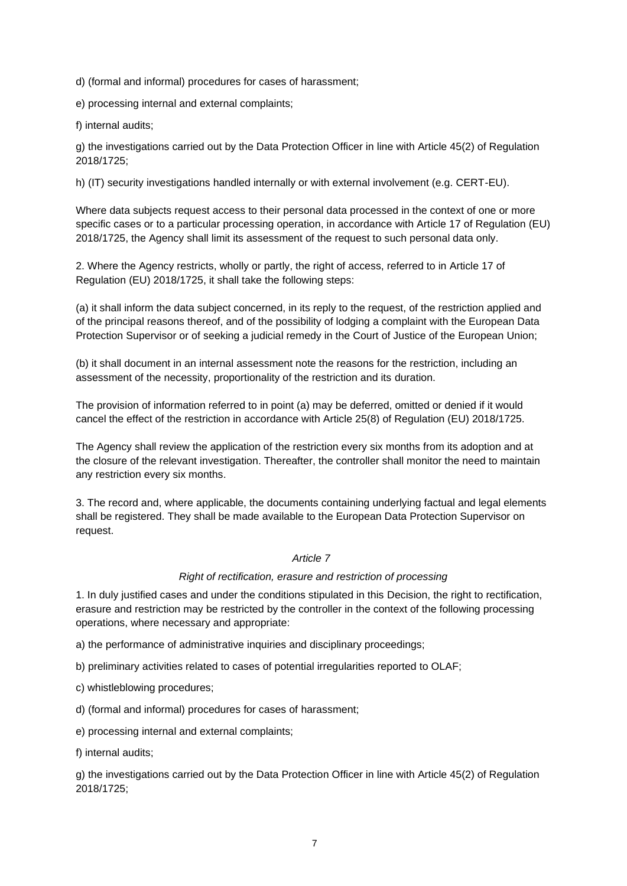d) (formal and informal) procedures for cases of harassment;

e) processing internal and external complaints;

f) internal audits;

g) the investigations carried out by the Data Protection Officer in line with Article 45(2) of Regulation 2018/1725;

h) (IT) security investigations handled internally or with external involvement (e.g. CERT-EU).

Where data subjects request access to their personal data processed in the context of one or more specific cases or to a particular processing operation, in accordance with Article 17 of Regulation (EU) 2018/1725, the Agency shall limit its assessment of the request to such personal data only.

2. Where the Agency restricts, wholly or partly, the right of access, referred to in Article 17 of Regulation (EU) 2018/1725, it shall take the following steps:

(a) it shall inform the data subject concerned, in its reply to the request, of the restriction applied and of the principal reasons thereof, and of the possibility of lodging a complaint with the European Data Protection Supervisor or of seeking a judicial remedy in the Court of Justice of the European Union;

(b) it shall document in an internal assessment note the reasons for the restriction, including an assessment of the necessity, proportionality of the restriction and its duration.

The provision of information referred to in point (a) may be deferred, omitted or denied if it would cancel the effect of the restriction in accordance with Article 25(8) of Regulation (EU) 2018/1725.

The Agency shall review the application of the restriction every six months from its adoption and at the closure of the relevant investigation. Thereafter, the controller shall monitor the need to maintain any restriction every six months.

3. The record and, where applicable, the documents containing underlying factual and legal elements shall be registered. They shall be made available to the European Data Protection Supervisor on request.

# *Article 7*

#### *Right of rectification, erasure and restriction of processing*

1. In duly justified cases and under the conditions stipulated in this Decision, the right to rectification, erasure and restriction may be restricted by the controller in the context of the following processing operations, where necessary and appropriate:

a) the performance of administrative inquiries and disciplinary proceedings;

b) preliminary activities related to cases of potential irregularities reported to OLAF;

c) whistleblowing procedures;

d) (formal and informal) procedures for cases of harassment;

e) processing internal and external complaints;

f) internal audits;

g) the investigations carried out by the Data Protection Officer in line with Article 45(2) of Regulation 2018/1725;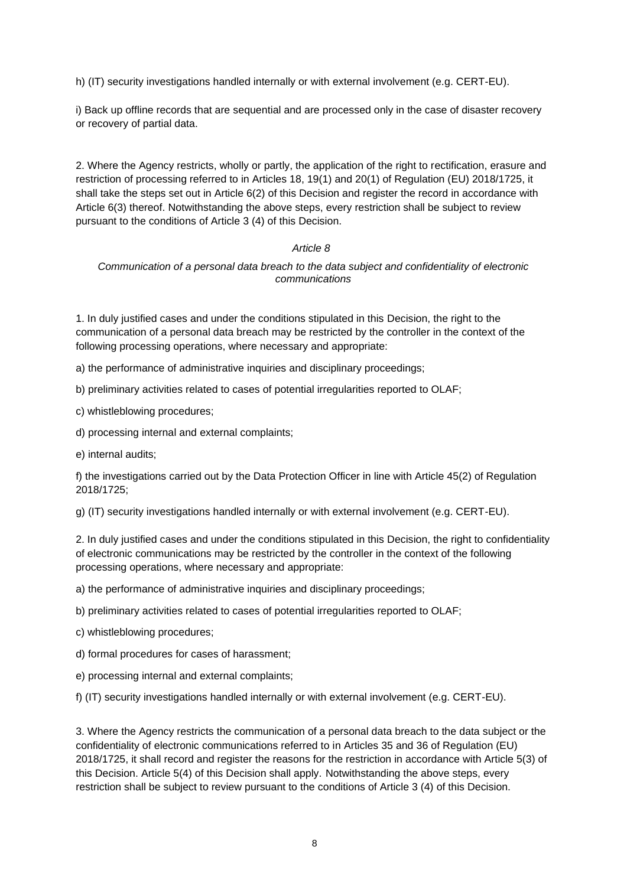h) (IT) security investigations handled internally or with external involvement (e.g. CERT-EU).

i) Back up offline records that are sequential and are processed only in the case of disaster recovery or recovery of partial data.

2. Where the Agency restricts, wholly or partly, the application of the right to rectification, erasure and restriction of processing referred to in Articles 18, 19(1) and 20(1) of Regulation (EU) 2018/1725, it shall take the steps set out in Article 6(2) of this Decision and register the record in accordance with Article 6(3) thereof. Notwithstanding the above steps, every restriction shall be subject to review pursuant to the conditions of Article 3 (4) of this Decision.

# *Article 8*

*Communication of a personal data breach to the data subject and confidentiality of electronic communications*

1. In duly justified cases and under the conditions stipulated in this Decision, the right to the communication of a personal data breach may be restricted by the controller in the context of the following processing operations, where necessary and appropriate:

a) the performance of administrative inquiries and disciplinary proceedings;

b) preliminary activities related to cases of potential irregularities reported to OLAF;

c) whistleblowing procedures;

d) processing internal and external complaints;

e) internal audits;

f) the investigations carried out by the Data Protection Officer in line with Article 45(2) of Regulation 2018/1725;

g) (IT) security investigations handled internally or with external involvement (e.g. CERT-EU).

2. In duly justified cases and under the conditions stipulated in this Decision, the right to confidentiality of electronic communications may be restricted by the controller in the context of the following processing operations, where necessary and appropriate:

a) the performance of administrative inquiries and disciplinary proceedings;

b) preliminary activities related to cases of potential irregularities reported to OLAF;

c) whistleblowing procedures;

d) formal procedures for cases of harassment;

e) processing internal and external complaints;

f) (IT) security investigations handled internally or with external involvement (e.g. CERT-EU).

3. Where the Agency restricts the communication of a personal data breach to the data subject or the confidentiality of electronic communications referred to in Articles 35 and 36 of Regulation (EU) 2018/1725, it shall record and register the reasons for the restriction in accordance with Article 5(3) of this Decision. Article 5(4) of this Decision shall apply. Notwithstanding the above steps, every restriction shall be subject to review pursuant to the conditions of Article 3 (4) of this Decision.